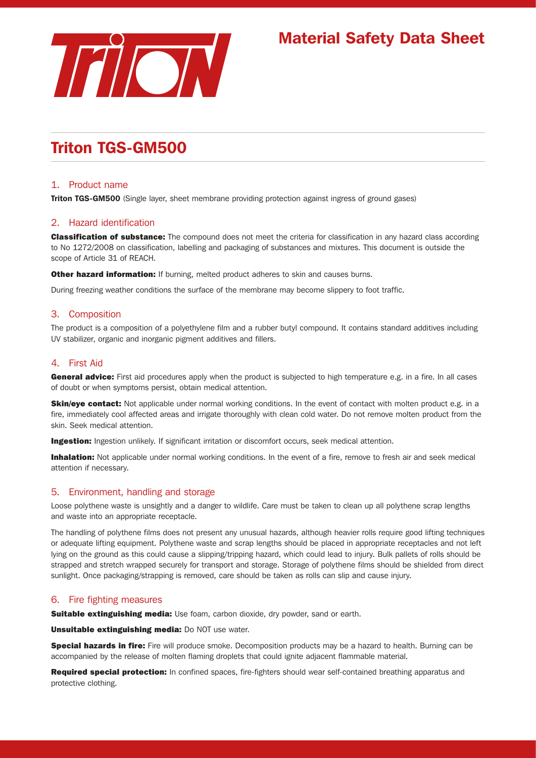

# Material Safety Data Sheet

# Triton TGS-GM500

# 1. Product name

**Triton TGS-GM500** (Single layer, sheet membrane providing protection against ingress of ground gases)

# 2. Hazard identification

**Classification of substance:** The compound does not meet the criteria for classification in any hazard class according to No 1272/2008 on classification, labelling and packaging of substances and mixtures. This document is outside the scope of Article 31 of REACH.

Other hazard information: If burning, melted product adheres to skin and causes burns.

During freezing weather conditions the surface of the membrane may become slippery to foot traffic.

# 3. Composition

The product is a composition of a polyethylene film and a rubber butyl compound. It contains standard additives including UV stabilizer, organic and inorganic pigment additives and fillers.

## 4. First Aid

General advice: First aid procedures apply when the product is subjected to high temperature e.g. in a fire. In all cases of doubt or when symptoms persist, obtain medical attention.

**Skin/eye contact:** Not applicable under normal working conditions. In the event of contact with molten product e.g. in a fire, immediately cool affected areas and irrigate thoroughly with clean cold water. Do not remove molten product from the skin. Seek medical attention.

**Ingestion:** Ingestion unlikely. If significant irritation or discomfort occurs, seek medical attention.

Inhalation: Not applicable under normal working conditions. In the event of a fire, remove to fresh air and seek medical attention if necessary.

## 5. Environment, handling and storage

Loose polythene waste is unsightly and a danger to wildlife. Care must be taken to clean up all polythene scrap lengths and waste into an appropriate receptacle.

The handling of polythene films does not present any unusual hazards, although heavier rolls require good lifting techniques or adequate lifting equipment. Polythene waste and scrap lengths should be placed in appropriate receptacles and not left lying on the ground as this could cause a slipping/tripping hazard, which could lead to injury. Bulk pallets of rolls should be strapped and stretch wrapped securely for transport and storage. Storage of polythene films should be shielded from direct sunlight. Once packaging/strapping is removed, care should be taken as rolls can slip and cause injury.

## 6. Fire fighting measures

**Suitable extinguishing media:** Use foam, carbon dioxide, dry powder, sand or earth.

Unsuitable extinguishing media: Do NOT use water.

Special hazards in fire: Fire will produce smoke. Decomposition products may be a hazard to health. Burning can be accompanied by the release of molten flaming droplets that could ignite adjacent flammable material.

Required special protection: In confined spaces, fire-fighters should wear self-contained breathing apparatus and protective clothing.